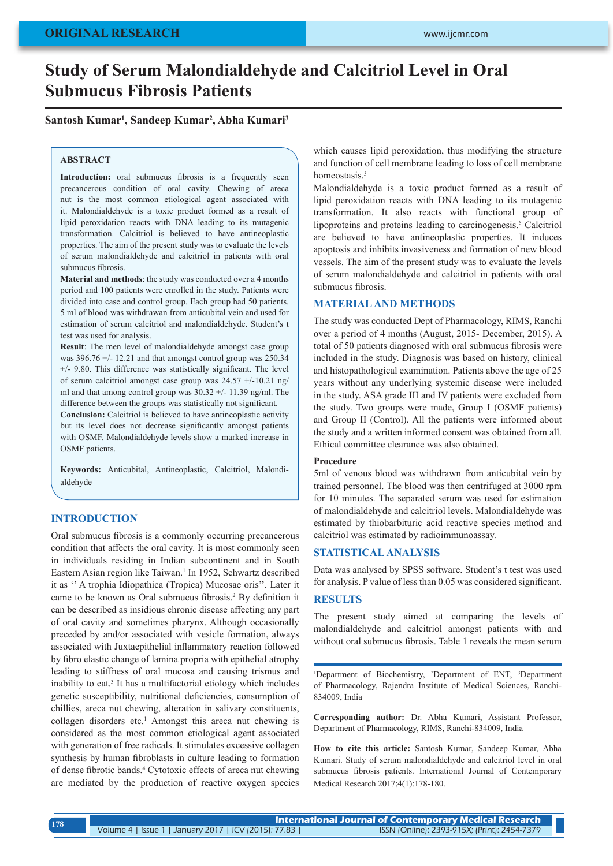# **Study of Serum Malondialdehyde and Calcitriol Level in Oral Submucus Fibrosis Patients**

### **Santosh Kumar1 , Sandeep Kumar2 , Abha Kumari3**

### **ABSTRACT**

**Introduction:** oral submucus fibrosis is a frequently seen precancerous condition of oral cavity. Chewing of areca nut is the most common etiological agent associated with it. Malondialdehyde is a toxic product formed as a result of lipid peroxidation reacts with DNA leading to its mutagenic transformation. Calcitriol is believed to have antineoplastic properties. The aim of the present study was to evaluate the levels of serum malondialdehyde and calcitriol in patients with oral submucus fibrosis.

**Material and methods**: the study was conducted over a 4 months period and 100 patients were enrolled in the study. Patients were divided into case and control group. Each group had 50 patients. 5 ml of blood was withdrawan from anticubital vein and used for estimation of serum calcitriol and malondialdehyde. Student's t test was used for analysis.

**Result**: The men level of malondialdehyde amongst case group was  $396.76 + (-12.21$  and that amongst control group was  $250.34$ +/- 9.80. This difference was statistically significant. The level of serum calcitriol amongst case group was  $24.57 +10.21$  ng/ ml and that among control group was 30.32 +/- 11.39 ng/ml. The difference between the groups was statistically not significant.

**Conclusion:** Calcitriol is believed to have antineoplastic activity but its level does not decrease significantly amongst patients with OSMF. Malondialdehyde levels show a marked increase in OSMF patients.

**Keywords:** Anticubital, Antineoplastic, Calcitriol, Malondialdehyde

# **INTRODUCTION**

Oral submucus fibrosis is a commonly occurring precancerous condition that affects the oral cavity. It is most commonly seen in individuals residing in Indian subcontinent and in South Eastern Asian region like Taiwan.<sup>1</sup> In 1952, Schwartz described it as '' A trophia Idiopathica (Tropica) Mucosae oris''. Later it came to be known as Oral submucus fibrosis.2 By definition it can be described as insidious chronic disease affecting any part of oral cavity and sometimes pharynx. Although occasionally preceded by and/or associated with vesicle formation, always associated with Juxtaepithelial inflammatory reaction followed by fibro elastic change of lamina propria with epithelial atrophy leading to stiffness of oral mucosa and causing trismus and inability to eat.<sup>3</sup> It has a multifactorial etiology which includes genetic susceptibility, nutritional deficiencies, consumption of chillies, areca nut chewing, alteration in salivary constituents, collagen disorders etc.<sup>1</sup> Amongst this areca nut chewing is considered as the most common etiological agent associated with generation of free radicals. It stimulates excessive collagen synthesis by human fibroblasts in culture leading to formation of dense fibrotic bands.4 Cytotoxic effects of areca nut chewing are mediated by the production of reactive oxygen species

which causes lipid peroxidation, thus modifying the structure and function of cell membrane leading to loss of cell membrane homeostasis.<sup>5</sup>

Malondialdehyde is a toxic product formed as a result of lipid peroxidation reacts with DNA leading to its mutagenic transformation. It also reacts with functional group of lipoproteins and proteins leading to carcinogenesis.<sup>6</sup> Calcitriol are believed to have antineoplastic properties. It induces apoptosis and inhibits invasiveness and formation of new blood vessels. The aim of the present study was to evaluate the levels of serum malondialdehyde and calcitriol in patients with oral submucus fibrosis.

#### **MATERIAL AND METHODS**

The study was conducted Dept of Pharmacology, RIMS, Ranchi over a period of 4 months (August, 2015- December, 2015). A total of 50 patients diagnosed with oral submucus fibrosis were included in the study. Diagnosis was based on history, clinical and histopathological examination. Patients above the age of 25 years without any underlying systemic disease were included in the study. ASA grade III and IV patients were excluded from the study. Two groups were made, Group I (OSMF patients) and Group II (Control). All the patients were informed about the study and a written informed consent was obtained from all. Ethical committee clearance was also obtained.

#### **Procedure**

5ml of venous blood was withdrawn from anticubital vein by trained personnel. The blood was then centrifuged at 3000 rpm for 10 minutes. The separated serum was used for estimation of malondialdehyde and calcitriol levels. Malondialdehyde was estimated by thiobarbituric acid reactive species method and calcitriol was estimated by radioimmunoassay.

#### **STATISTICAL ANALYSIS**

Data was analysed by SPSS software. Student's t test was used for analysis. P value of less than 0.05 was considered significant.

#### **RESULTS**

The present study aimed at comparing the levels of malondialdehyde and calcitriol amongst patients with and without oral submucus fibrosis. Table 1 reveals the mean serum

<sup>1</sup>Department of Biochemistry, <sup>2</sup>Department of ENT, <sup>3</sup>Department of Pharmacology, Rajendra Institute of Medical Sciences, Ranchi-834009, India

**Corresponding author:** Dr. Abha Kumari, Assistant Professor, Department of Pharmacology, RIMS, Ranchi-834009, India

**How to cite this article:** Santosh Kumar, Sandeep Kumar, Abha Kumari. Study of serum malondialdehyde and calcitriol level in oral submucus fibrosis patients. International Journal of Contemporary Medical Research 2017;4(1):178-180.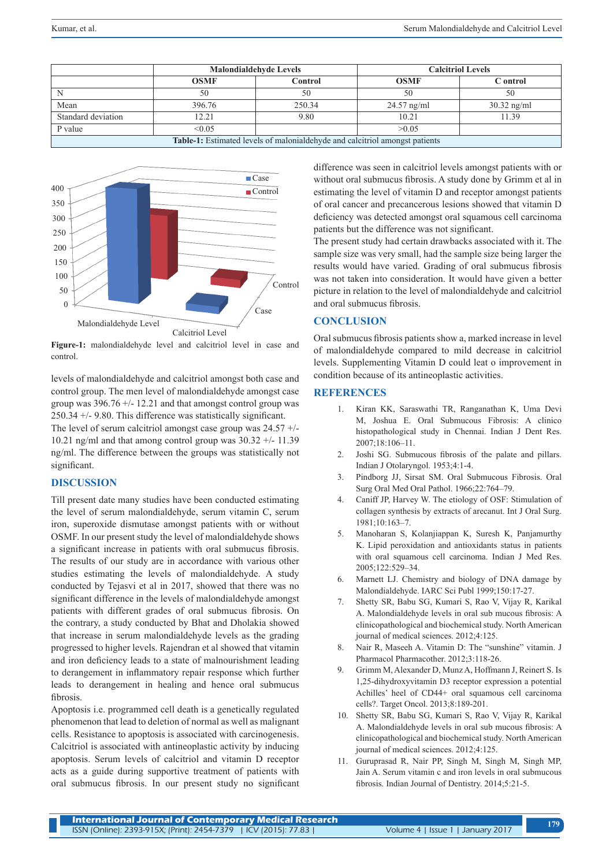|                                                                                     | <b>Malondialdehyde Levels</b> |         | <b>Calcitriol Levels</b> |               |
|-------------------------------------------------------------------------------------|-------------------------------|---------|--------------------------|---------------|
|                                                                                     | <b>OSMF</b>                   | Control | <b>OSMF</b>              | C ontrol      |
|                                                                                     | 50                            | 50      | 50                       | 50            |
| Mean                                                                                | 396.76                        | 250.34  | $24.57$ ng/ml            | $30.32$ ng/ml |
| Standard deviation                                                                  | 12.21                         | 9.80    | 10.21                    | 11.39         |
| P value                                                                             | < 0.05                        |         | >0.05                    |               |
| <b>Table-1:</b> Estimated levels of malonial dehyde and calcitriol amongst patients |                               |         |                          |               |



**Figure-1:** malondialdehyde level and calcitriol level in case and control.

levels of malondialdehyde and calcitriol amongst both case and control group. The men level of malondialdehyde amongst case group was  $396.76 + (-12.21)$  and that amongst control group was 250.34 +/- 9.80. This difference was statistically significant. The level of serum calcitriol amongst case group was  $24.57 +/-$ 10.21 ng/ml and that among control group was  $30.32 +/- 11.39$ ng/ml. The difference between the groups was statistically not significant.

## **DISCUSSION**

Till present date many studies have been conducted estimating the level of serum malondialdehyde, serum vitamin C, serum iron, superoxide dismutase amongst patients with or without OSMF. In our present study the level of malondialdehyde shows a significant increase in patients with oral submucus fibrosis. The results of our study are in accordance with various other studies estimating the levels of malondialdehyde. A study conducted by Tejasvi et al in 2017, showed that there was no significant difference in the levels of malondialdehyde amongst patients with different grades of oral submucus fibrosis. On the contrary, a study conducted by Bhat and Dholakia showed that increase in serum malondialdehyde levels as the grading progressed to higher levels. Rajendran et al showed that vitamin and iron deficiency leads to a state of malnourishment leading to derangement in inflammatory repair response which further leads to derangement in healing and hence oral submucus fibrosis.

Apoptosis i.e. programmed cell death is a genetically regulated phenomenon that lead to deletion of normal as well as malignant cells. Resistance to apoptosis is associated with carcinogenesis. Calcitriol is associated with antineoplastic activity by inducing apoptosis. Serum levels of calcitriol and vitamin D receptor acts as a guide during supportive treatment of patients with oral submucus fibrosis. In our present study no significant difference was seen in calcitriol levels amongst patients with or without oral submucus fibrosis. A study done by Grimm et al in estimating the level of vitamin D and receptor amongst patients of oral cancer and precancerous lesions showed that vitamin D deficiency was detected amongst oral squamous cell carcinoma patients but the difference was not significant.

The present study had certain drawbacks associated with it. The sample size was very small, had the sample size being larger the results would have varied. Grading of oral submucus fibrosis was not taken into consideration. It would have given a better picture in relation to the level of malondialdehyde and calcitriol and oral submucus fibrosis.

### **CONCLUSION**

Oral submucus fibrosis patients show a, marked increase in level of malondialdehyde compared to mild decrease in calcitriol levels. Supplementing Vitamin D could leat o improvement in condition because of its antineoplastic activities.

#### **REFERENCES**

- 1. Kiran KK, Saraswathi TR, Ranganathan K, Uma Devi M, Joshua E. Oral Submucous Fibrosis: A clinico histopathological study in Chennai. Indian J Dent Res. 2007;18:106–11.
- 2. Joshi SG. Submucous fibrosis of the palate and pillars. Indian J Otolaryngol. 1953;4:1‑4.
- 3. Pindborg JJ, Sirsat SM. Oral Submucous Fibrosis. Oral Surg Oral Med Oral Pathol. 1966;22:764–79.
- 4. Caniff JP, Harvey W. The etiology of OSF: Stimulation of collagen synthesis by extracts of arecanut. Int J Oral Surg. 1981;10:163–7.
- 5. Manoharan S, Kolanjiappan K, Suresh K, Panjamurthy K. Lipid peroxidation and antioxidants status in patients with oral squamous cell carcinoma. Indian J Med Res. 2005;122:529–34.
- 6. Marnett LJ. Chemistry and biology of DNA damage by Malondialdehyde. IARC Sci Publ 1999;150:17‑27.
- 7. Shetty SR, Babu SG, Kumari S, Rao V, Vijay R, Karikal A. Malondialdehyde levels in oral sub mucous fibrosis: A clinicopathological and biochemical study. North American journal of medical sciences. 2012;4:125.
- 8. Nair R, Maseeh A. Vitamin D: The "sunshine" vitamin. J Pharmacol Pharmacother. 2012;3:118-26.
- 9. Grimm M, Alexander D, Munz A, Hoffmann J, Reinert S. Is 1,25-dihydroxyvitamin D3 receptor expression a potential Achilles' heel of CD44+ oral squamous cell carcinoma cells?. Target Oncol. 2013;8:189-201.
- 10. Shetty SR, Babu SG, Kumari S, Rao V, Vijay R, Karikal A. Malondialdehyde levels in oral sub mucous fibrosis: A clinicopathological and biochemical study. North American journal of medical sciences. 2012;4:125.
- 11. Guruprasad R, Nair PP, Singh M, Singh M, Singh MP, Jain A. Serum vitamin c and iron levels in oral submucous fibrosis. Indian Journal of Dentistry. 2014;5:21-5.